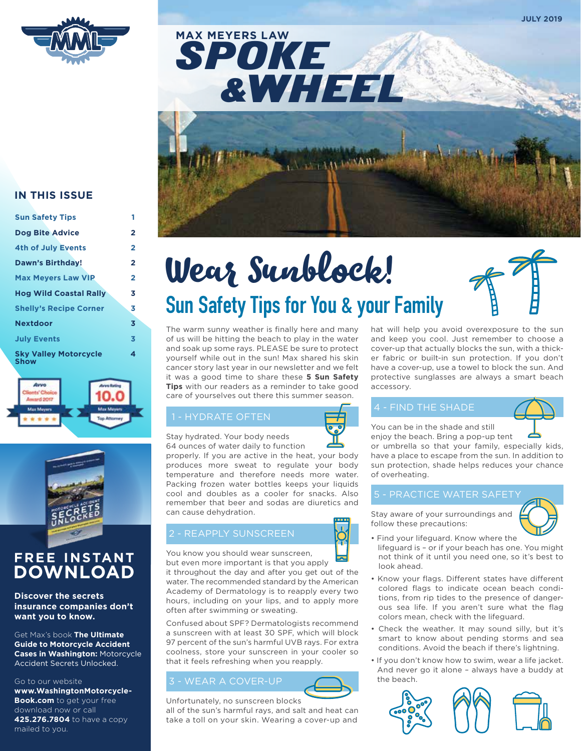

SPOKE &WHEEL **MAX MEYERS LAW**



## **IN THIS ISSUE**

| <b>Sun Safety Tips</b>                      | 1              |
|---------------------------------------------|----------------|
| <b>Dog Bite Advice</b>                      | 2              |
| <b>4th of July Events</b>                   | 2              |
| Dawn's Birthday!                            | $\overline{2}$ |
| <b>Max Meyers Law VIP</b>                   | 2              |
| <b>Hog Wild Coastal Rally</b>               | 3              |
| <b>Shelly's Recipe Corner</b>               | 3              |
| <b>Nextdoor</b>                             | 3              |
| <b>July Events</b>                          | 3              |
| <b>Sky Valley Motorcycle</b><br><b>Show</b> | 4              |





## **FREE INSTANT DOWNLOAD**

### **Discover the secrets insurance companies don't want you to know.**

Get Max's book **The Ultimate Guide to Motorcycle Accident Cases in Washington:** Motorcycle Accident Secrets Unlocked.

### Go to our website

**www.WashingtonMotorcycle-Book.com** to get your free download now or call **425.276.7804** to have a copy mailed to you.

# **Sun Safety Tips for You & your Family** Wear Sunblock!

The warm sunny weather is finally here and many of us will be hitting the beach to play in the water and soak up some rays. PLEASE be sure to protect yourself while out in the sun! Max shared his skin cancer story last year in our newsletter and we felt it was a good time to share these **5 Sun Safety Tips** with our readers as a reminder to take good care of yourselves out there this summer season.

## 1 - HYDRATE OFTEN

Stay hydrated. Your body needs

64 ounces of water daily to function properly. If you are active in the heat, your body produces more sweat to regulate your body temperature and therefore needs more water. Packing frozen water bottles keeps your liquids cool and doubles as a cooler for snacks. Also remember that beer and sodas are diuretics and can cause dehydration.

## 2 - REAPPLY SUNSCREEN

You know you should wear sunscreen, but even more important is that you apply

it throughout the day and after you get out of the water. The recommended standard by the American Academy of Dermatology is to reapply every two hours, including on your lips, and to apply more often after swimming or sweating.

Confused about SPF? Dermatologists recommend a sunscreen with at least 30 SPF, which will block 97 percent of the sun's harmful UVB rays. For extra coolness, store your sunscreen in your cooler so that it feels refreshing when you reapply.

## 3 - WEAR A COVER-UP



all of the sun's harmful rays, and salt and heat can take a toll on your skin. Wearing a cover-up and hat will help you avoid overexposure to the sun and keep you cool. Just remember to choose a cover-up that actually blocks the sun, with a thicker fabric or built-in sun protection. If you don't have a cover-up, use a towel to block the sun. And protective sunglasses are always a smart beach accessory.

## 4 - FIND THE SHADE

You can be in the shade and still

enjoy the beach. Bring a pop-up tent or umbrella so that your family, especially kids, have a place to escape from the sun. In addition to sun protection, shade helps reduces your chance of overheating.

## 5 - PRACTICE WATER SAFETY

Stay aware of your surroundings and follow these precautions:



**JULY 2019**

- Find your lifeguard. Know where the lifeguard is – or if your beach has one. You might not think of it until you need one, so it's best to look ahead.
- Know your flags. Different states have different colored flags to indicate ocean beach conditions, from rip tides to the presence of dangerous sea life. If you aren't sure what the flag colors mean, check with the lifeguard.
- Check the weather. It may sound silly, but it's smart to know about pending storms and sea conditions. Avoid the beach if there's lightning.
- If you don't know how to swim, wear a life jacket. And never go it alone – always have a buddy at the beach.

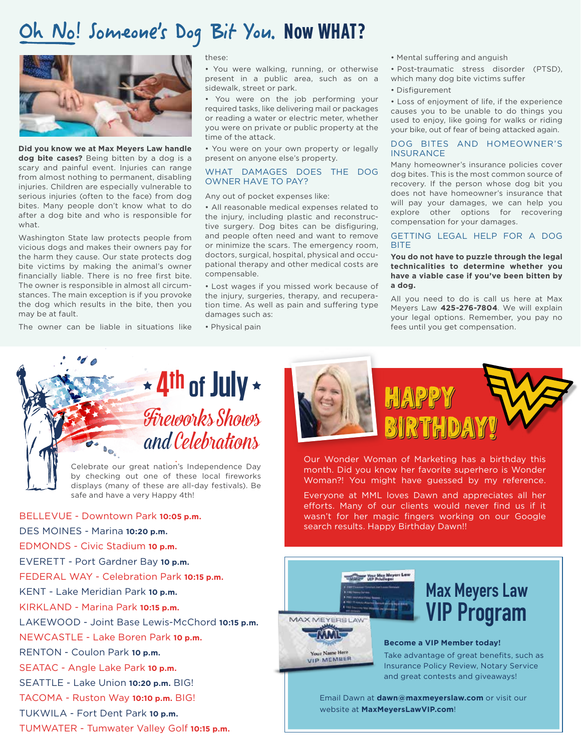## Oh No! Someone's Dog Bit You. Now WHAT?



**Did you know we at Max Meyers Law handle dog bite cases?** Being bitten by a dog is a scary and painful event. Injuries can range from almost nothing to permanent, disabling injuries. Children are especially vulnerable to serious injuries (often to the face) from dog bites. Many people don't know what to do after a dog bite and who is responsible for what.

Washington State law protects people from vicious dogs and makes their owners pay for the harm they cause. Our state protects dog bite victims by making the animal's owner financially liable. There is no free first bite. The owner is responsible in almost all circumstances. The main exception is if you provoke the dog which results in the bite, then you may be at fault.

The owner can be liable in situations like

#### these:

• You were walking, running, or otherwise present in a public area, such as on a sidewalk, street or park.

• You were on the job performing your required tasks, like delivering mail or packages or reading a water or electric meter, whether you were on private or public property at the time of the attack.

• You were on your own property or legally present on anyone else's property.

#### WHAT DAMAGES DOES THE DOG OWNER HAVE TO PAY?

Any out of pocket expenses like:

• All reasonable medical expenses related to the injury, including plastic and reconstructive surgery. Dog bites can be disfiguring, and people often need and want to remove or minimize the scars. The emergency room, doctors, surgical, hospital, physical and occupational therapy and other medical costs are compensable.

• Lost wages if you missed work because of the injury, surgeries, therapy, and recuperation time. As well as pain and suffering type damages such as:

• Physical pain

- Mental suffering and anguish
- Post-traumatic stress disorder (PTSD), which many dog bite victims suffer
- Disfigurement

• Loss of enjoyment of life, if the experience causes you to be unable to do things you used to enjoy, like going for walks or riding your bike, out of fear of being attacked again.

#### DOG BITES AND HOMEOWNER'S **INSURANCE**

Many homeowner's insurance policies cover dog bites. This is the most common source of recovery. If the person whose dog bit you does not have homeowner's insurance that will pay your damages, we can help you explore other options for recovering compensation for your damages.

#### GETTING LEGAL HELP FOR A DOG **BITE**

**You do not have to puzzle through the legal technicalities to determine whether you have a viable case if you've been bitten by a dog.** 

All you need to do is call us here at Max Meyers Law **425-276-7804**. We will explain your legal options. Remember, you pay no fees until you get compensation.



by checking out one of these local fireworks displays (many of these are all-day festivals). Be safe and have a very Happy 4th!

BELLEVUE - Downtown Park **10:05 p.m.** DES MOINES - Marina **10:20 p.m.** EDMONDS - Civic Stadium **10 p.m.** EVERETT - Port Gardner Bay **10 p.m.** FEDERAL WAY - Celebration Park **10:15 p.m.** KENT - Lake Meridian Park **10 p.m.** KIRKLAND - Marina Park **10:15 p.m.** LAKEWOOD - Joint Base Lewis-McChord **10:15 p.m.** NEWCASTLE - Lake Boren Park **10 p.m.** RENTON - Coulon Park **10 p.m.** SEATAC - Angle Lake Park **10 p.m.** SEATTLE - Lake Union **10:20 p.m.** BIG! TACOMA - Ruston Way **10:10 p.m.** BIG! TUKWILA - Fort Dent Park **10 p.m.** TUMWATER - Tumwater Valley Golf **10:15 p.m.**



Our Wonder Woman of Marketing has a birthday this month. Did you know her favorite superhero is Wonder Woman?! You might have guessed by my reference.

Everyone at MML loves Dawn and appreciates all her efforts. Many of our clients would never find us if it wasn't for her magic fingers working on our Google search results. Happy Birthday Dawn!!



Your Name Here<br>VIP MEMBER

## **Max Meyers Law VIP Program**

#### **Become a VIP Member today!**

Take advantage of great benefits, such as Insurance Policy Review, Notary Service and great contests and giveaways!

Email Dawn at **dawn@maxmeyerslaw.com** or visit our website at **MaxMeyersLawVIP.com**!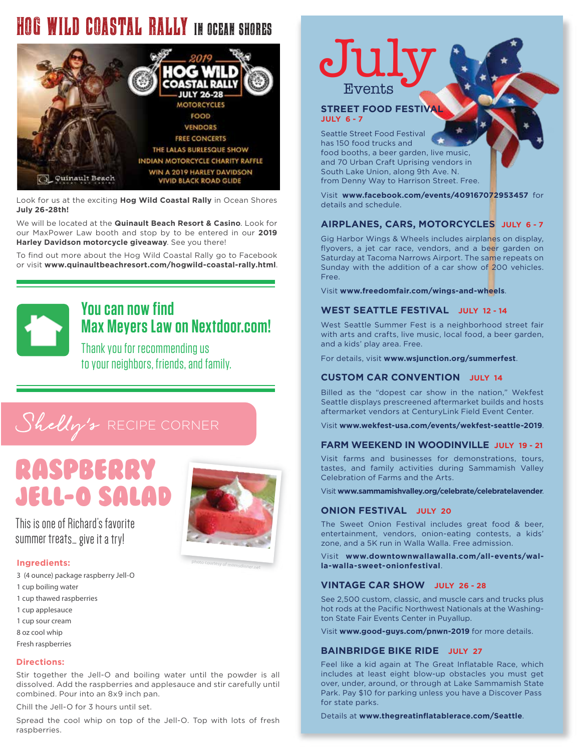## HOG WILD COASTAL RALLY IN OCEAN SHORES



Look for us at the exciting **Hog Wild Coastal Rally** in Ocean Shores **July 26-28th!** 

We will be located at the **Quinault Beach Resort & Casino**. Look for our MaxPower Law booth and stop by to be entered in our **2019 Harley Davidson motorcycle giveaway**. See you there!

To find out more about the Hog Wild Coastal Rally go to Facebook or visit **www.quinaultbeachresort.com/hogwild-coastal-rally.html**.



## **You can now find Max Meyers Law on Nextdoor.com!**

Thank you for recommending us to your neighbors, friends, and family.

## Shelly's RECIPE CORNER

## Raspberry Jell-O Salad

This is one of Richard's favorite summer treats… give it a try!

## **Ingredients:**

- 3 (4 ounce) package raspberry Jell-O
- 1 cup boiling water
- 1 cup thawed raspberries
- 1 cup applesauce
- 1 cup sour cream
- 8 oz cool whip
- Fresh raspberries

## **Directions:**

Stir together the Jell-O and boiling water until the powder is all dissolved. Add the raspberries and applesauce and stir carefully until combined. Pour into an 8x9 inch pan.

Chill the Jell-O for 3 hours until set.

Spread the cool whip on top of the Jell-O. Top with lots of fresh raspberries.

# Jul Events

## **STREET FOOD FESTIVAL JULY 6 - 7**

Seattle Street Food Festival has 150 food trucks and food booths, a beer garden, live music, and 70 Urban Craft Uprising vendors in South Lake Union, along 9th Ave. N. from Denny Way to Harrison Street. Free.

Visit **www.facebook.com/events/409167072953457** for details and schedule.

## **AIRPLANES, CARS, MOTORCYCLES JULY 6 - 7**

Gig Harbor Wings & Wheels includes airplanes on display, flyovers, a jet car race, vendors, and a beer garden on Saturday at Tacoma Narrows Airport. The same repeats on Sunday with the addition of a car show of 200 vehicles. Free.

Visit **www.freedomfair.com/wings-and-wheels**.

## **WEST SEATTLE FESTIVAL JULY 12 - 14**

West Seattle Summer Fest is a neighborhood street fair with arts and crafts, live music, local food, a beer garden, and a kids' play area. Free.

For details, visit **www.wsjunction.org/summerfest**.

## **CUSTOM CAR CONVENTION JULY 14**

Billed as the "dopest car show in the nation," Wekfest Seattle displays prescreened aftermarket builds and hosts aftermarket vendors at CenturyLink Field Event Center.

Visit **www.wekfest-usa.com/events/wekfest-seattle-2019**.

## **FARM WEEKEND IN WOODINVILLE JULY 19 - 21**

Visit farms and businesses for demonstrations, tours, tastes, and family activities during Sammamish Valley Celebration of Farms and the Arts.

Visit **www.sammamishvalley.org/celebrate/celebratelavender**.

## **ONION FESTIVAL JULY 20**

The Sweet Onion Festival includes great food & beer, entertainment, vendors, onion-eating contests, a kids' zone, and a 5K run in Walla Walla. Free admission.

Visit **www.downtownwallawalla.com/all-events/walla-walla-sweet-onionfestival**.

### **VINTAGE CAR SHOW JULY 26 - 28**

See 2,500 custom, classic, and muscle cars and trucks plus hot rods at the Pacific Northwest Nationals at the Washington State Fair Events Center in Puyallup.

Visit **www.good-guys.com/pnwn-2019** for more details.

## **BAINBRIDGE BIKE RIDE JULY 27**

Feel like a kid again at The Great Inflatable Race, which includes at least eight blow-up obstacles you must get over, under, around, or through at Lake Sammamish State Park. Pay \$10 for parking unless you have a Discover Pass for state parks.

Details at **www.thegreatinflatablerace.com/Seattle**.